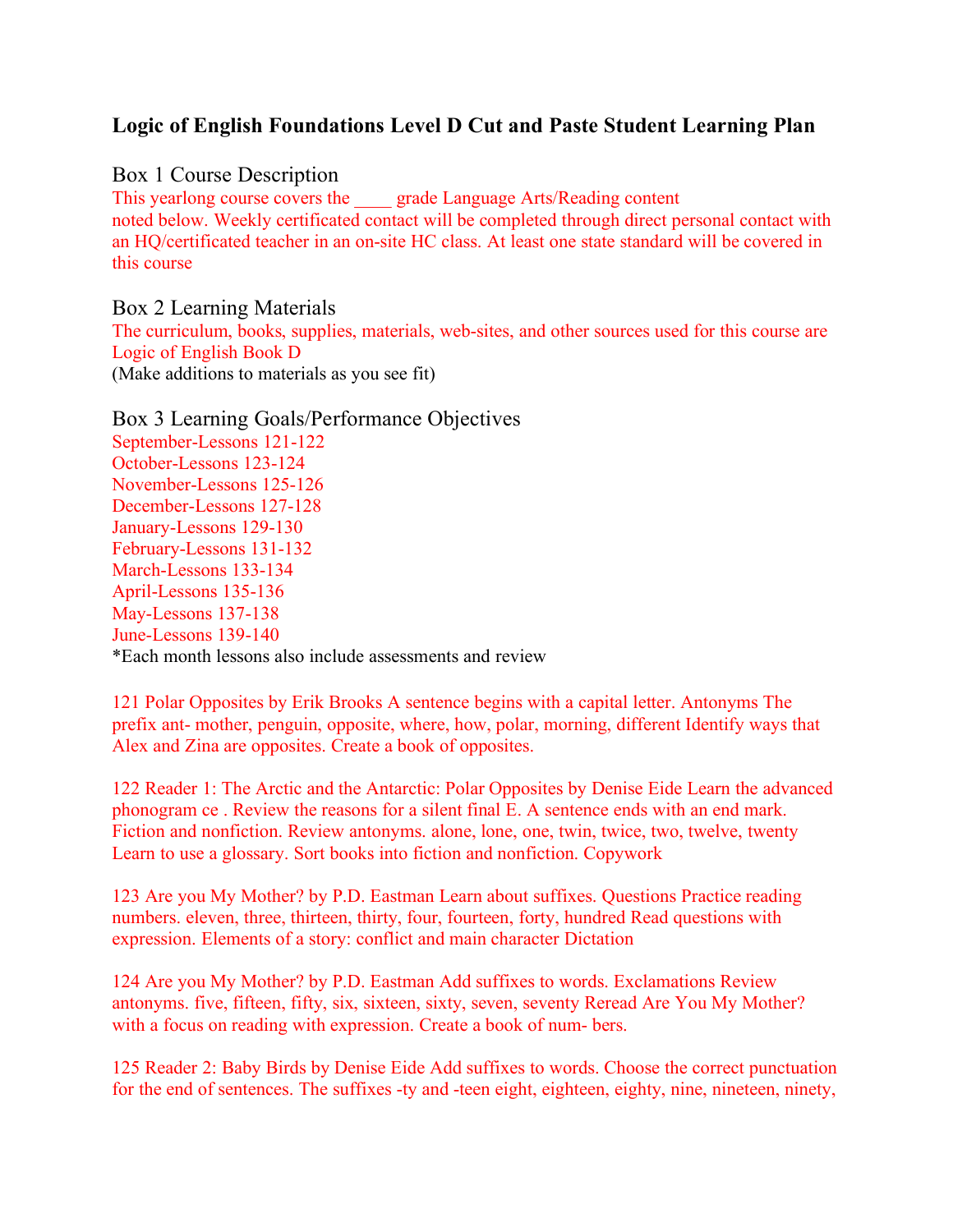# **Logic of English Foundations Level D Cut and Paste Student Learning Plan**

Box 1 Course Description

This yearlong course covers the grade Language Arts/Reading content noted below. Weekly certificated contact will be completed through direct personal contact with an HQ/certificated teacher in an on-site HC class. At least one state standard will be covered in this course

Box 2 Learning Materials The curriculum, books, supplies, materials, web-sites, and other sources used for this course are Logic of English Book D (Make additions to materials as you see fit)

Box 3 Learning Goals/Performance Objectives September-Lessons 121-122 October-Lessons 123-124 November-Lessons 125-126 December-Lessons 127-128 January-Lessons 129-130 February-Lessons 131-132 March-Lessons 133-134 April-Lessons 135-136 May-Lessons 137-138 June-Lessons 139-140 \*Each month lessons also include assessments and review

121 Polar Opposites by Erik Brooks A sentence begins with a capital letter. Antonyms The prefix ant- mother, penguin, opposite, where, how, polar, morning, different Identify ways that Alex and Zina are opposites. Create a book of opposites.

122 Reader 1: The Arctic and the Antarctic: Polar Opposites by Denise Eide Learn the advanced phonogram ce . Review the reasons for a silent final E. A sentence ends with an end mark. Fiction and nonfiction. Review antonyms. alone, lone, one, twin, twice, two, twelve, twenty Learn to use a glossary. Sort books into fiction and nonfiction. Copywork

123 Are you My Mother? by P.D. Eastman Learn about suffixes. Questions Practice reading numbers, eleven, three, thirteen, thirty, four, fourteen, forty, hundred Read questions with expression. Elements of a story: conflict and main character Dictation

124 Are you My Mother? by P.D. Eastman Add suffixes to words. Exclamations Review antonyms. five, fifteen, fifty, six, sixteen, sixty, seven, seventy Reread Are You My Mother? with a focus on reading with expression. Create a book of num- bers.

125 Reader 2: Baby Birds by Denise Eide Add suffixes to words. Choose the correct punctuation for the end of sentences. The suffixes -ty and -teen eight, eighteen, eighty, nine, nineteen, ninety,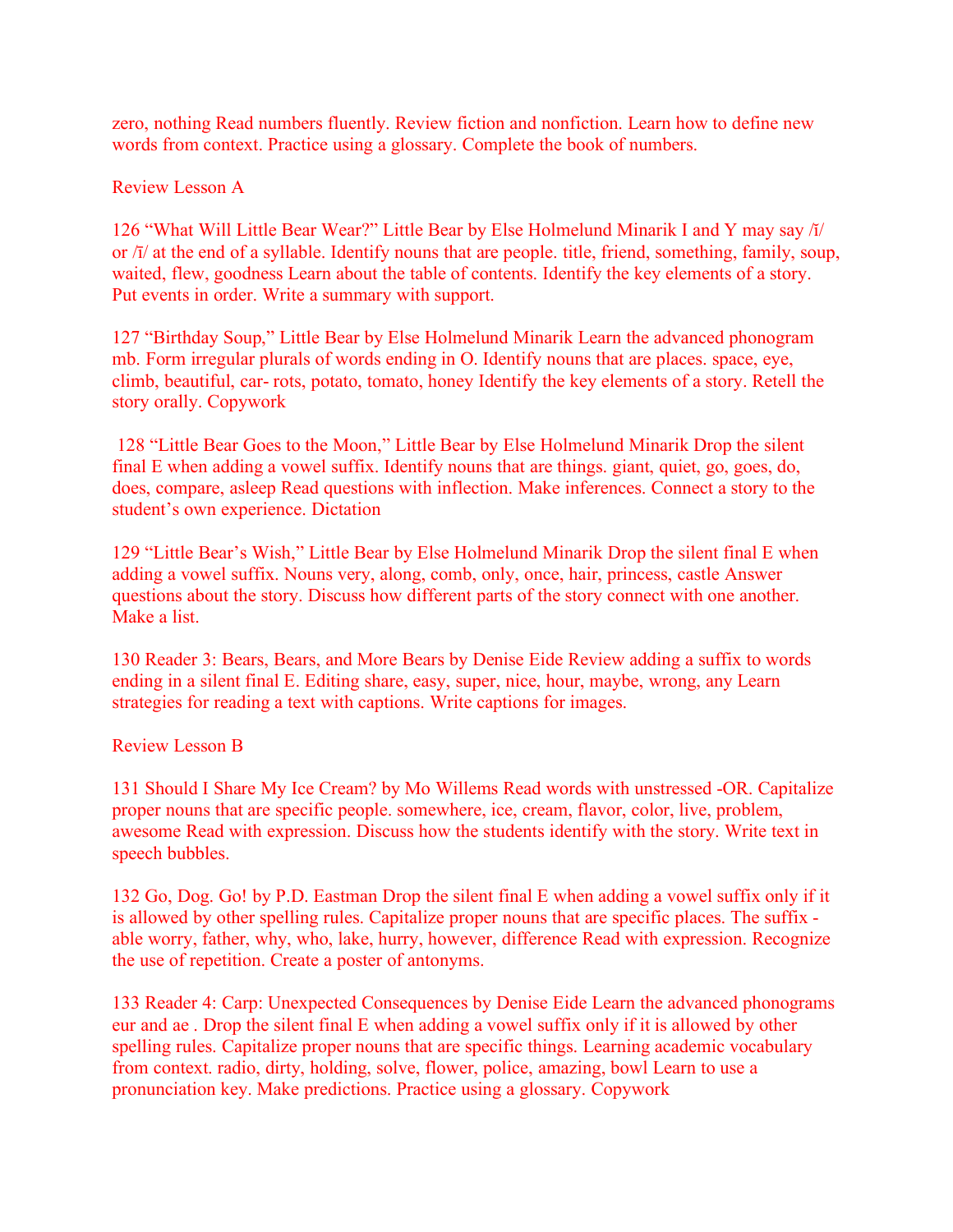zero, nothing Read numbers fluently. Review fiction and nonfiction. Learn how to define new words from context. Practice using a glossary. Complete the book of numbers.

Review Lesson A

126 "What Will Little Bear Wear?" Little Bear by Else Holmelund Minarik I and Y may say /ĭ/ or /ī/ at the end of a syllable. Identify nouns that are people. title, friend, something, family, soup, waited, flew, goodness Learn about the table of contents. Identify the key elements of a story. Put events in order. Write a summary with support.

127 "Birthday Soup," Little Bear by Else Holmelund Minarik Learn the advanced phonogram mb. Form irregular plurals of words ending in O. Identify nouns that are places. space, eye, climb, beautiful, car- rots, potato, tomato, honey Identify the key elements of a story. Retell the story orally. Copywork

128 "Little Bear Goes to the Moon," Little Bear by Else Holmelund Minarik Drop the silent final E when adding a vowel suffix. Identify nouns that are things. giant, quiet, go, goes, do, does, compare, asleep Read questions with inflection. Make inferences. Connect a story to the student's own experience. Dictation

129 "Little Bear's Wish," Little Bear by Else Holmelund Minarik Drop the silent final E when adding a vowel suffix. Nouns very, along, comb, only, once, hair, princess, castle Answer questions about the story. Discuss how different parts of the story connect with one another. Make a list.

130 Reader 3: Bears, Bears, and More Bears by Denise Eide Review adding a suffix to words ending in a silent final E. Editing share, easy, super, nice, hour, maybe, wrong, any Learn strategies for reading a text with captions. Write captions for images.

Review Lesson B

131 Should I Share My Ice Cream? by Mo Willems Read words with unstressed -OR. Capitalize proper nouns that are specific people. somewhere, ice, cream, flavor, color, live, problem, awesome Read with expression. Discuss how the students identify with the story. Write text in speech bubbles.

132 Go, Dog. Go! by P.D. Eastman Drop the silent final E when adding a vowel suffix only if it is allowed by other spelling rules. Capitalize proper nouns that are specific places. The suffix able worry, father, why, who, lake, hurry, however, difference Read with expression. Recognize the use of repetition. Create a poster of antonyms.

133 Reader 4: Carp: Unexpected Consequences by Denise Eide Learn the advanced phonograms eur and ae . Drop the silent final E when adding a vowel suffix only if it is allowed by other spelling rules. Capitalize proper nouns that are specific things. Learning academic vocabulary from context. radio, dirty, holding, solve, flower, police, amazing, bowl Learn to use a pronunciation key. Make predictions. Practice using a glossary. Copywork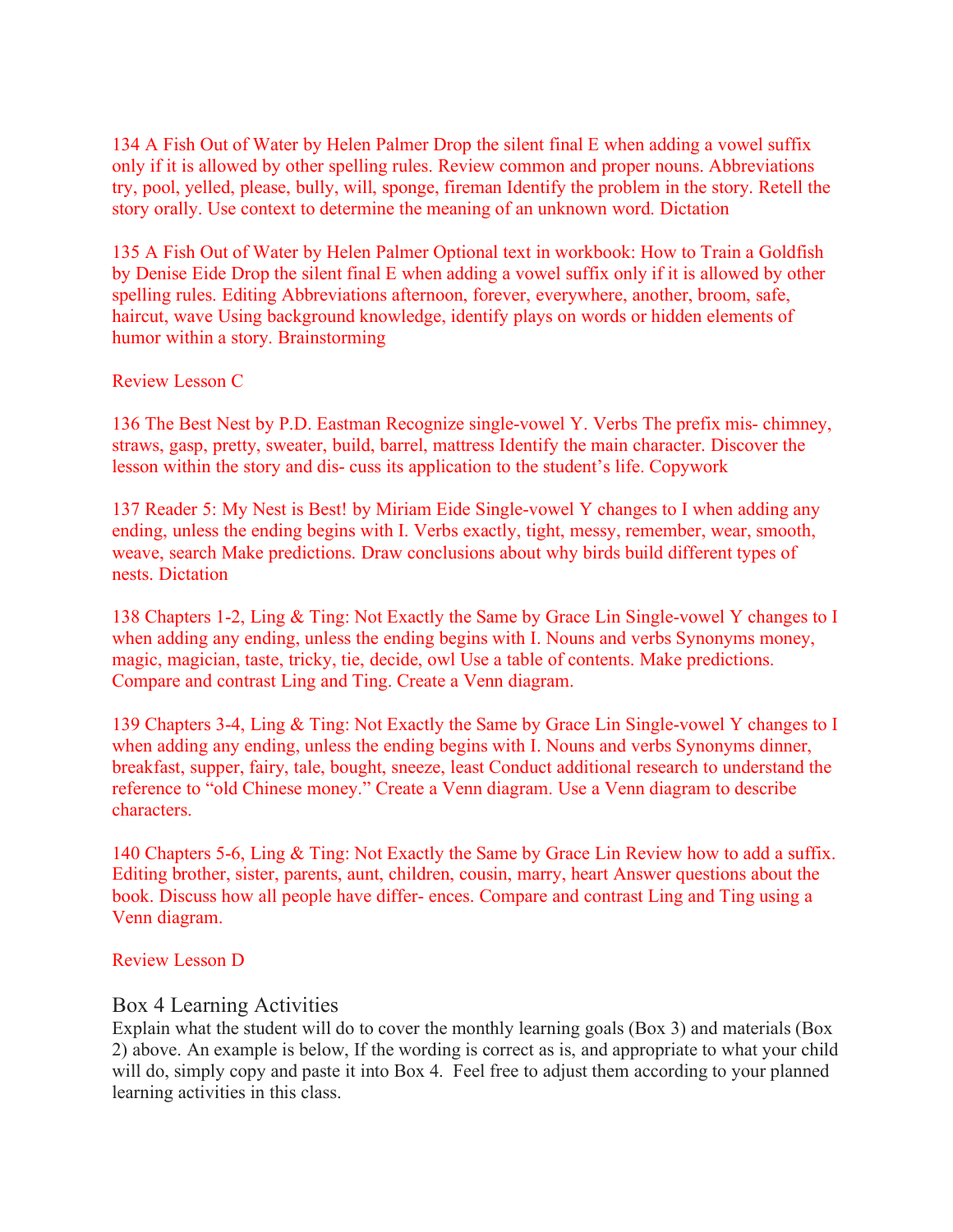134 A Fish Out of Water by Helen Palmer Drop the silent final E when adding a vowel suffix only if it is allowed by other spelling rules. Review common and proper nouns. Abbreviations try, pool, yelled, please, bully, will, sponge, fireman Identify the problem in the story. Retell the story orally. Use context to determine the meaning of an unknown word. Dictation

135 A Fish Out of Water by Helen Palmer Optional text in workbook: How to Train a Goldfish by Denise Eide Drop the silent final E when adding a vowel suffix only if it is allowed by other spelling rules. Editing Abbreviations afternoon, forever, everywhere, another, broom, safe, haircut, wave Using background knowledge, identify plays on words or hidden elements of humor within a story. Brainstorming

Review Lesson C

136 The Best Nest by P.D. Eastman Recognize single-vowel Y. Verbs The prefix mis- chimney, straws, gasp, pretty, sweater, build, barrel, mattress Identify the main character. Discover the lesson within the story and dis- cuss its application to the student's life. Copywork

137 Reader 5: My Nest is Best! by Miriam Eide Single-vowel Y changes to I when adding any ending, unless the ending begins with I. Verbs exactly, tight, messy, remember, wear, smooth, weave, search Make predictions. Draw conclusions about why birds build different types of nests. Dictation

138 Chapters 1-2, Ling & Ting: Not Exactly the Same by Grace Lin Single-vowel Y changes to I when adding any ending, unless the ending begins with I. Nouns and verbs Synonyms money, magic, magician, taste, tricky, tie, decide, owl Use a table of contents. Make predictions. Compare and contrast Ling and Ting. Create a Venn diagram.

139 Chapters 3-4, Ling & Ting: Not Exactly the Same by Grace Lin Single-vowel Y changes to I when adding any ending, unless the ending begins with I. Nouns and verbs Synonyms dinner, breakfast, supper, fairy, tale, bought, sneeze, least Conduct additional research to understand the reference to "old Chinese money." Create a Venn diagram. Use a Venn diagram to describe characters.

140 Chapters 5-6, Ling & Ting: Not Exactly the Same by Grace Lin Review how to add a suffix. Editing brother, sister, parents, aunt, children, cousin, marry, heart Answer questions about the book. Discuss how all people have differ- ences. Compare and contrast Ling and Ting using a Venn diagram.

#### Review Lesson D

#### Box 4 Learning Activities

Explain what the student will do to cover the monthly learning goals (Box 3) and materials (Box 2) above. An example is below, If the wording is correct as is, and appropriate to what your child will do, simply copy and paste it into Box 4. Feel free to adjust them according to your planned learning activities in this class.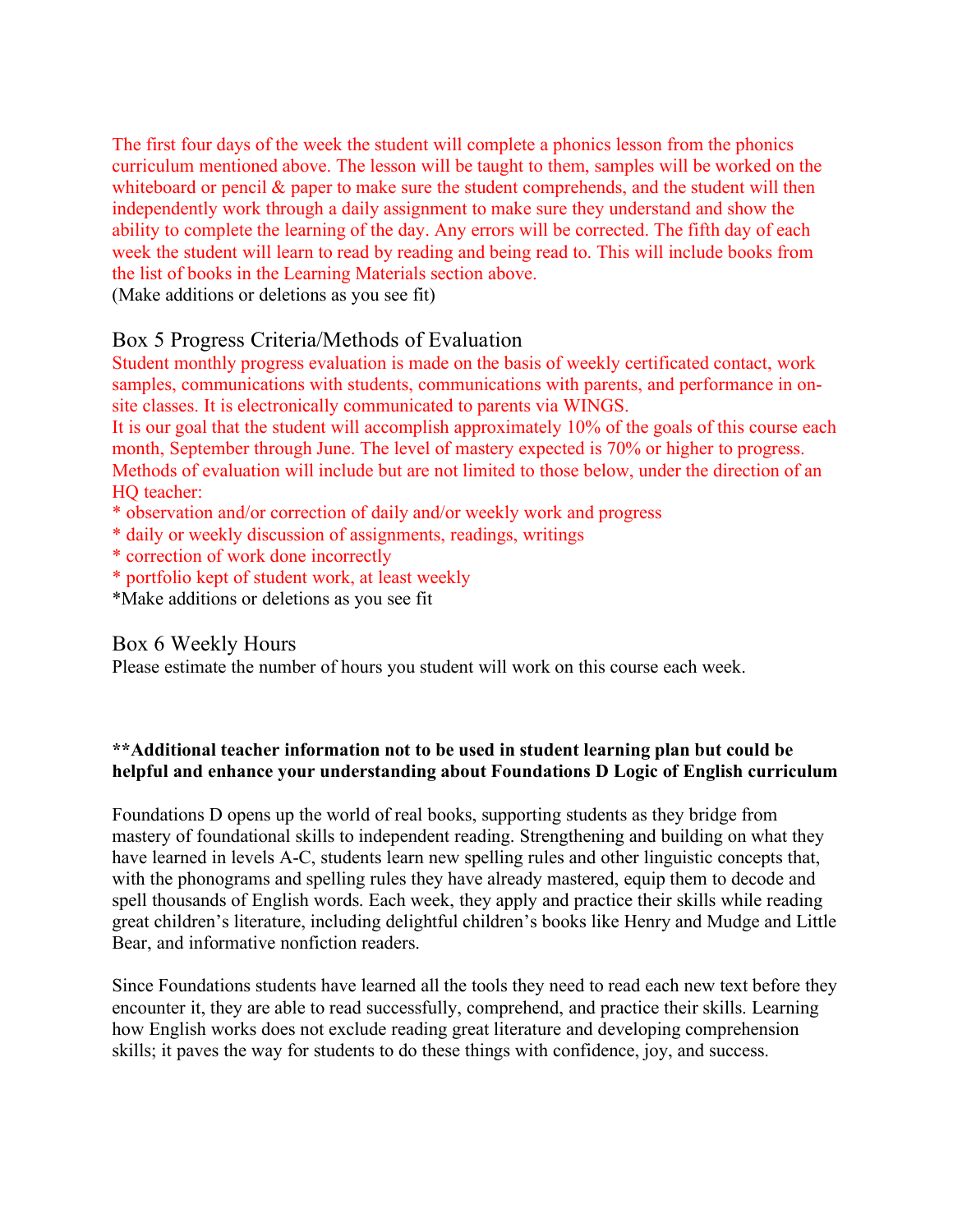The first four days of the week the student will complete a phonics lesson from the phonics curriculum mentioned above. The lesson will be taught to them, samples will be worked on the whiteboard or pencil  $\&$  paper to make sure the student comprehends, and the student will then independently work through a daily assignment to make sure they understand and show the ability to complete the learning of the day. Any errors will be corrected. The fifth day of each week the student will learn to read by reading and being read to. This will include books from the list of books in the Learning Materials section above.

(Make additions or deletions as you see fit)

# Box 5 Progress Criteria/Methods of Evaluation

Student monthly progress evaluation is made on the basis of weekly certificated contact, work samples, communications with students, communications with parents, and performance in onsite classes. It is electronically communicated to parents via WINGS.

It is our goal that the student will accomplish approximately 10% of the goals of this course each month, September through June. The level of mastery expected is 70% or higher to progress. Methods of evaluation will include but are not limited to those below, under the direction of an HQ teacher:

- \* observation and/or correction of daily and/or weekly work and progress
- \* daily or weekly discussion of assignments, readings, writings
- \* correction of work done incorrectly
- \* portfolio kept of student work, at least weekly
- \*Make additions or deletions as you see fit

## Box 6 Weekly Hours

Please estimate the number of hours you student will work on this course each week.

### **\*\*Additional teacher information not to be used in student learning plan but could be helpful and enhance your understanding about Foundations D Logic of English curriculum**

Foundations D opens up the world of real books, supporting students as they bridge from mastery of foundational skills to independent reading. Strengthening and building on what they have learned in levels A-C, students learn new spelling rules and other linguistic concepts that, with the phonograms and spelling rules they have already mastered, equip them to decode and spell thousands of English words. Each week, they apply and practice their skills while reading great children's literature, including delightful children's books like Henry and Mudge and Little Bear, and informative nonfiction readers.

Since Foundations students have learned all the tools they need to read each new text before they encounter it, they are able to read successfully, comprehend, and practice their skills. Learning how English works does not exclude reading great literature and developing comprehension skills; it paves the way for students to do these things with confidence, joy, and success.